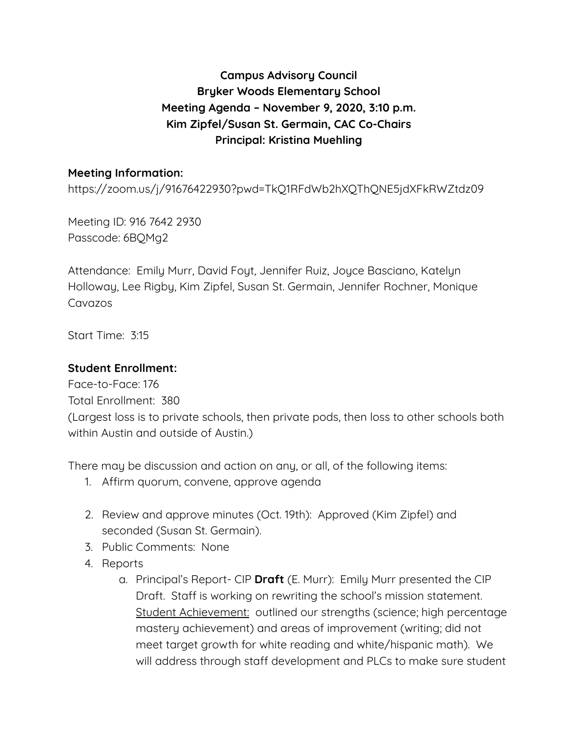## **Campus Advisory Council Bryker Woods Elementary School Meeting Agenda – November 9, 2020, 3:10 p.m. Kim Zipfel/Susan St. Germain, CAC Co-Chairs Principal: Kristina Muehling**

## **Meeting Information:**

https://zoom.us/j/91676422930?pwd=TkQ1RFdWb2hXQThQNE5jdXFkRWZtdz09

Meeting ID: 916 7642 2930 Passcode: 6BQMg2

Attendance: Emily Murr, David Foyt, Jennifer Ruiz, Joyce Basciano, Katelyn Holloway, Lee Rigby, Kim Zipfel, Susan St. Germain, Jennifer Rochner, Monique Cavazos

Start Time: 3:15

## **Student Enrollment:**

Face-to-Face: 176 Total Enrollment: 380 (Largest loss is to private schools, then private pods, then loss to other schools both within Austin and outside of Austin.)

There may be discussion and action on any, or all, of the following items:

- 1. Affirm quorum, convene, approve agenda
- 2. Review and approve minutes (Oct. 19th): Approved (Kim Zipfel) and seconded (Susan St. Germain).
- 3. Public Comments: None
- 4. Reports
	- a. Principal's Report- CIP **Draft** (E. Murr): Emily Murr presented the CIP Draft. Staff is working on rewriting the school's mission statement. Student Achievement: outlined our strengths (science; high percentage mastery achievement) and areas of improvement (writing; did not meet target growth for white reading and white/hispanic math). We will address through staff development and PLCs to make sure student